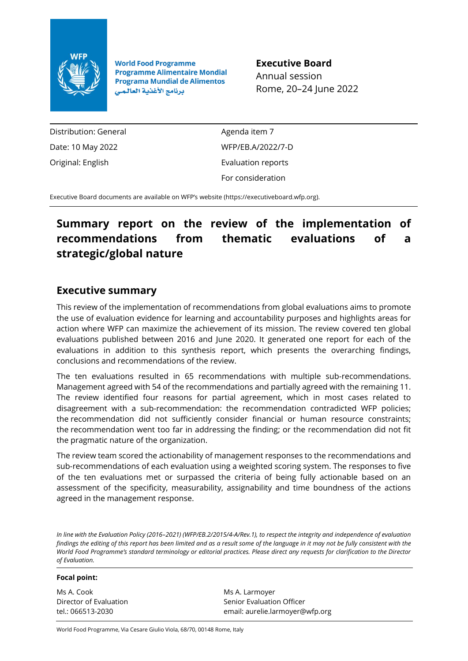

**World Food Programme Programme Alimentaire Mondial Programa Mundial de Alimentos** برنامج الأغذية العالمي

**Executive Board** Annual session Rome, 20–24 June 2022

Distribution: General Date: 10 May 2022 Original: English

Agenda item 7 WFP/EB.A/2022/7-D Evaluation reports For consideration

Executive Board documents are available on WFP's website [\(https://executiveboard.wfp.org\)](https://executiveboard.wfp.org/).

# **Summary report on the review of the implementation of recommendations from thematic evaluations of a strategic/global nature**

# **Executive summary**

This review of the implementation of recommendations from global evaluations aims to promote the use of evaluation evidence for learning and accountability purposes and highlights areas for action where WFP can maximize the achievement of its mission. The review covered ten global evaluations published between 2016 and June 2020. It generated one report for each of the evaluations in addition to this synthesis report, which presents the overarching findings, conclusions and recommendations of the review.

The ten evaluations resulted in 65 recommendations with multiple sub-recommendations. Management agreed with 54 of the recommendations and partially agreed with the remaining 11. The review identified four reasons for partial agreement, which in most cases related to disagreement with a sub-recommendation: the recommendation contradicted WFP policies; the recommendation did not sufficiently consider financial or human resource constraints; the recommendation went too far in addressing the finding; or the recommendation did not fit the pragmatic nature of the organization.

The review team scored the actionability of management responses to the recommendations and sub-recommendations of each evaluation using a weighted scoring system. The responses to five of the ten evaluations met or surpassed the criteria of being fully actionable based on an assessment of the specificity, measurability, assignability and time boundness of the actions agreed in the management response.

*In line with the Evaluation Policy (2016–2021) (WFP/EB.2/2015/4-A/Rev.1), to respect the integrity and independence of evaluation findings the editing of this report has been limited and as a result some of the language in it may not be fully consistent with the World Food Programme's standard terminology or editorial practices. Please direct any requests for clarification to the Director of Evaluation.*

#### **Focal point:**

Ms A. Cook Director of Evaluation tel.: 066513-2030

Ms A. Larmoyer Senior Evaluation Officer email: aurelie.larmoyer@wfp.org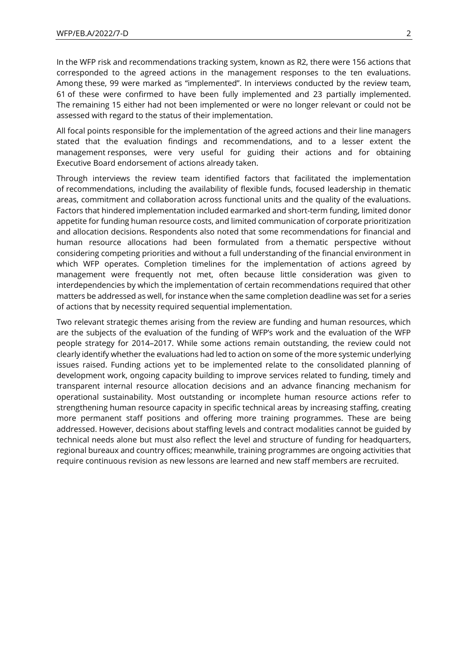In the WFP risk and recommendations tracking system, known as R2, there were 156 actions that corresponded to the agreed actions in the management responses to the ten evaluations. Among these, 99 were marked as "implemented". In interviews conducted by the review team, 61 of these were confirmed to have been fully implemented and 23 partially implemented. The remaining 15 either had not been implemented or were no longer relevant or could not be assessed with regard to the status of their implementation.

All focal points responsible for the implementation of the agreed actions and their line managers stated that the evaluation findings and recommendations, and to a lesser extent the management responses, were very useful for guiding their actions and for obtaining Executive Board endorsement of actions already taken.

Through interviews the review team identified factors that facilitated the implementation of recommendations, including the availability of flexible funds, focused leadership in thematic areas, commitment and collaboration across functional units and the quality of the evaluations. Factors that hindered implementation included earmarked and short-term funding, limited donor appetite for funding human resource costs, and limited communication of corporate prioritization and allocation decisions. Respondents also noted that some recommendations for financial and human resource allocations had been formulated from a thematic perspective without considering competing priorities and without a full understanding of the financial environment in which WFP operates. Completion timelines for the implementation of actions agreed by management were frequently not met, often because little consideration was given to interdependencies by which the implementation of certain recommendations required that other matters be addressed as well, for instance when the same completion deadline was set for a series of actions that by necessity required sequential implementation.

Two relevant strategic themes arising from the review are funding and human resources, which are the subjects of the evaluation of the funding of WFP's work and the evaluation of the WFP people strategy for 2014–2017. While some actions remain outstanding, the review could not clearly identify whether the evaluations had led to action on some of the more systemic underlying issues raised. Funding actions yet to be implemented relate to the consolidated planning of development work, ongoing capacity building to improve services related to funding, timely and transparent internal resource allocation decisions and an advance financing mechanism for operational sustainability. Most outstanding or incomplete human resource actions refer to strengthening human resource capacity in specific technical areas by increasing staffing, creating more permanent staff positions and offering more training programmes. These are being addressed. However, decisions about staffing levels and contract modalities cannot be guided by technical needs alone but must also reflect the level and structure of funding for headquarters, regional bureaux and country offices; meanwhile, training programmes are ongoing activities that require continuous revision as new lessons are learned and new staff members are recruited.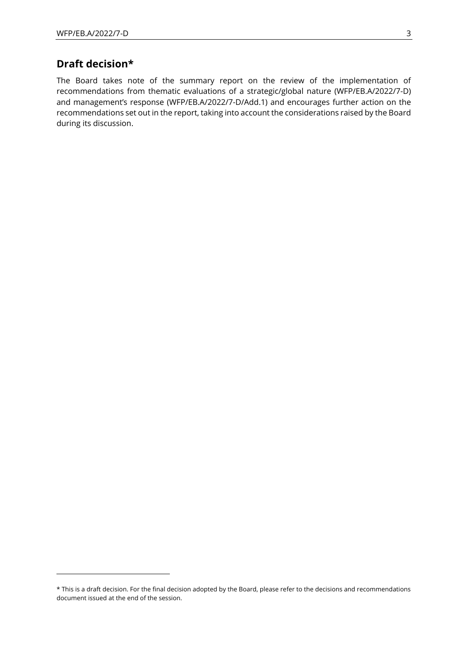# **Draft decision\***

The Board takes note of the summary report on the review of the implementation of recommendations from thematic evaluations of a strategic/global nature (WFP/EB.A/2022/7-D) and management's response (WFP/EB.A/2022/7-D/Add.1) and encourages further action on the recommendations set out in the report, taking into account the considerations raised by the Board during its discussion.

<sup>\*</sup> This is a draft decision. For the final decision adopted by the Board, please refer to the decisions and recommendations document issued at the end of the session.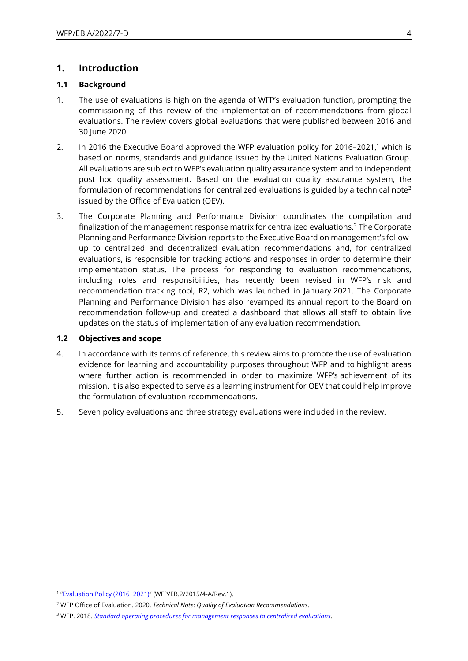## **1. Introduction**

## **1.1 Background**

- 1. The use of evaluations is high on the agenda of WFP's evaluation function, prompting the commissioning of this review of the implementation of recommendations from global evaluations. The review covers global evaluations that were published between 2016 and 30 June 2020.
- 2. In 2016 the Executive Board approved the WFP evaluation policy for 2016–2021,<sup>1</sup> which is based on norms, standards and guidance issued by the United Nations Evaluation Group. All evaluations are subject to WFP's evaluation quality assurance system and to independent post hoc quality assessment. Based on the evaluation quality assurance system, the formulation of recommendations for centralized evaluations is guided by a technical note<sup>2</sup> issued by the Office of Evaluation (OEV).
- 3. The Corporate Planning and Performance Division coordinates the compilation and finalization of the management response matrix for centralized evaluations.<sup>3</sup> The Corporate Planning and Performance Division reports to the Executive Board on management's followup to centralized and decentralized evaluation recommendations and, for centralized evaluations, is responsible for tracking actions and responses in order to determine their implementation status. The process for responding to evaluation recommendations, including roles and responsibilities, has recently been revised in WFP's risk and recommendation tracking tool, R2, which was launched in January 2021. The Corporate Planning and Performance Division has also revamped its annual report to the Board on recommendation follow-up and created a dashboard that allows all staff to obtain live updates on the status of implementation of any evaluation recommendation.

### **1.2 Objectives and scope**

- 4. In accordance with its terms of reference, this review aims to promote the use of evaluation evidence for learning and accountability purposes throughout WFP and to highlight areas where further action is recommended in order to maximize WFP's achievement of its mission. It is also expected to serve as a learning instrument for OEV that could help improve the formulation of evaluation recommendations.
- 5. Seven policy evaluations and three strategy evaluations were included in the review.

<sup>1</sup> ["Evaluation Policy \(2016−2021\)"](https://documents.wfp.org/stellent/groups/public/documents/eb/wfp277482.pdf) (WFP/EB.2/2015/4-A/Rev.1).

<sup>2</sup> WFP Office of Evaluation. 2020. *Technical Note: Quality of Evaluation Recommendations*.

<sup>3</sup> WFP. 2018. *[Standard operating procedures for management responses to centralized evaluations.](https://docs.wfp.org/api/documents/WFP-0000074368/download/)*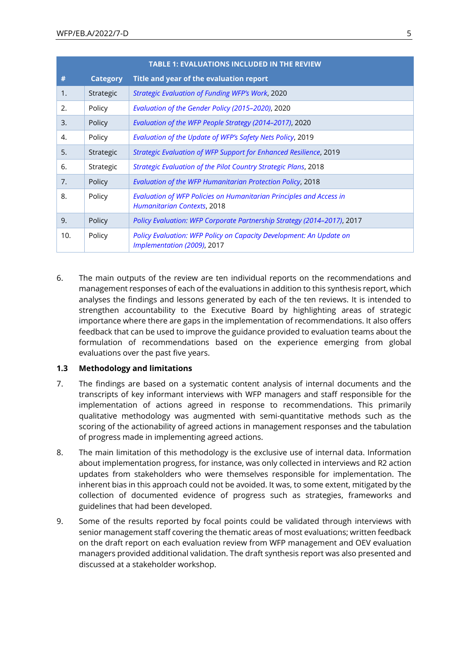|     | <b>TABLE 1: EVALUATIONS INCLUDED IN THE REVIEW</b> |                                                                                                           |  |  |  |  |  |  |
|-----|----------------------------------------------------|-----------------------------------------------------------------------------------------------------------|--|--|--|--|--|--|
| #   | <b>Category</b>                                    | Title and year of the evaluation report                                                                   |  |  |  |  |  |  |
| 1.  | Strategic                                          | Strategic Evaluation of Funding WFP's Work, 2020                                                          |  |  |  |  |  |  |
| 2.  | Policy                                             | Evaluation of the Gender Policy (2015-2020), 2020                                                         |  |  |  |  |  |  |
| 3.  | Policy                                             | Evaluation of the WFP People Strategy (2014-2017), 2020                                                   |  |  |  |  |  |  |
| 4.  | Policy                                             | Evaluation of the Update of WFP's Safety Nets Policy, 2019                                                |  |  |  |  |  |  |
| 5.  | Strategic                                          | Strategic Evaluation of WFP Support for Enhanced Resilience, 2019                                         |  |  |  |  |  |  |
| 6.  | Strategic                                          | <b>Strategic Evaluation of the Pilot Country Strategic Plans, 2018</b>                                    |  |  |  |  |  |  |
| 7.  | Policy                                             | Evaluation of the WFP Humanitarian Protection Policy, 2018                                                |  |  |  |  |  |  |
| 8.  | Policy                                             | Evaluation of WFP Policies on Humanitarian Principles and Access in<br><b>Humanitarian Contexts, 2018</b> |  |  |  |  |  |  |
| 9.  | Policy                                             | Policy Evaluation: WFP Corporate Partnership Strategy (2014-2017), 2017                                   |  |  |  |  |  |  |
| 10. | Policy                                             | Policy Evaluation: WFP Policy on Capacity Development: An Update on<br>Implementation (2009), 2017        |  |  |  |  |  |  |

6. The main outputs of the review are ten individual reports on the recommendations and management responses of each of the evaluations in addition to this synthesis report, which analyses the findings and lessons generated by each of the ten reviews. It is intended to strengthen accountability to the Executive Board by highlighting areas of strategic importance where there are gaps in the implementation of recommendations. It also offers feedback that can be used to improve the guidance provided to evaluation teams about the formulation of recommendations based on the experience emerging from global evaluations over the past five years.

### **1.3 Methodology and limitations**

- 7. The findings are based on a systematic content analysis of internal documents and the transcripts of key informant interviews with WFP managers and staff responsible for the implementation of actions agreed in response to recommendations. This primarily qualitative methodology was augmented with semi-quantitative methods such as the scoring of the actionability of agreed actions in management responses and the tabulation of progress made in implementing agreed actions.
- 8. The main limitation of this methodology is the exclusive use of internal data. Information about implementation progress, for instance, was only collected in interviews and R2 action updates from stakeholders who were themselves responsible for implementation. The inherent bias in this approach could not be avoided. It was, to some extent, mitigated by the collection of documented evidence of progress such as strategies, frameworks and guidelines that had been developed.
- 9. Some of the results reported by focal points could be validated through interviews with senior management staff covering the thematic areas of most evaluations; written feedback on the draft report on each evaluation review from WFP management and OEV evaluation managers provided additional validation. The draft synthesis report was also presented and discussed at a stakeholder workshop.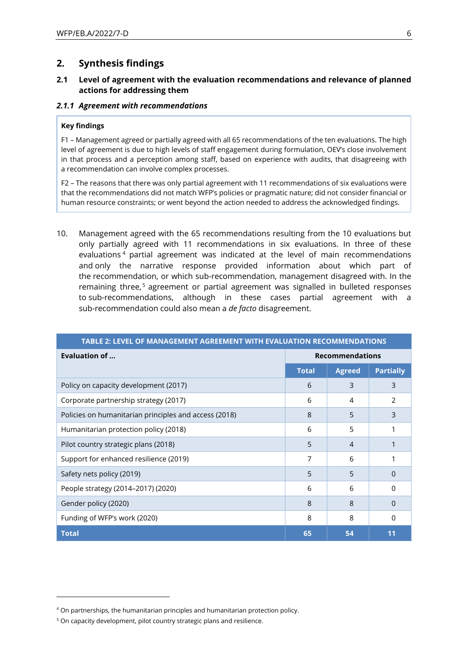## **2. Synthesis findings**

## **2.1 Level of agreement with the evaluation recommendations and relevance of planned actions for addressing them**

#### *2.1.1 Agreement with recommendations*

#### **Key findings**

F1 – Management agreed or partially agreed with all 65 recommendations of the ten evaluations. The high level of agreement is due to high levels of staff engagement during formulation, OEV's close involvement in that process and a perception among staff, based on experience with audits, that disagreeing with a recommendation can involve complex processes.

F2 – The reasons that there was only partial agreement with 11 recommendations of six evaluations were that the recommendations did not match WFP's policies or pragmatic nature; did not consider financial or human resource constraints; or went beyond the action needed to address the acknowledged findings.

10. Management agreed with the 65 recommendations resulting from the 10 evaluations but only partially agreed with 11 recommendations in six evaluations. In three of these evaluations <sup>4</sup> partial agreement was indicated at the level of main recommendations and only the narrative response provided information about which part of the recommendation, or which sub-recommendation, management disagreed with. In the remaining three,<sup>5</sup> agreement or partial agreement was signalled in bulleted responses to sub-recommendations, although in these cases partial agreement with a sub-recommendation could also mean a *de facto* disagreement.

| TABLE 2: LEVEL OF MANAGEMENT AGREEMENT WITH EVALUATION RECOMMENDATIONS |                        |                |                  |  |  |  |  |
|------------------------------------------------------------------------|------------------------|----------------|------------------|--|--|--|--|
| Evaluation of                                                          | <b>Recommendations</b> |                |                  |  |  |  |  |
|                                                                        | <b>Total</b>           | <b>Agreed</b>  | <b>Partially</b> |  |  |  |  |
| Policy on capacity development (2017)                                  | 6                      | 3              | 3                |  |  |  |  |
| Corporate partnership strategy (2017)                                  | 6                      | 4              | $\mathcal{P}$    |  |  |  |  |
| Policies on humanitarian principles and access (2018)                  | 8                      | 5              | 3                |  |  |  |  |
| Humanitarian protection policy (2018)                                  | 6                      | 5              |                  |  |  |  |  |
| Pilot country strategic plans (2018)                                   | 5                      | $\overline{4}$ |                  |  |  |  |  |
| Support for enhanced resilience (2019)                                 | 7                      | 6              |                  |  |  |  |  |
| Safety nets policy (2019)                                              | 5                      | 5              | 0                |  |  |  |  |
| People strategy (2014-2017) (2020)                                     | 6                      | 6              | O                |  |  |  |  |
| Gender policy (2020)                                                   | 8                      | 8              | O                |  |  |  |  |
| Funding of WFP's work (2020)                                           | 8                      | 8              | O                |  |  |  |  |
| <b>Total</b>                                                           | 65                     | 54             | 11               |  |  |  |  |

<sup>&</sup>lt;sup>4</sup> On partnerships, the humanitarian principles and humanitarian protection policy.

<sup>&</sup>lt;sup>5</sup> On capacity development, pilot country strategic plans and resilience.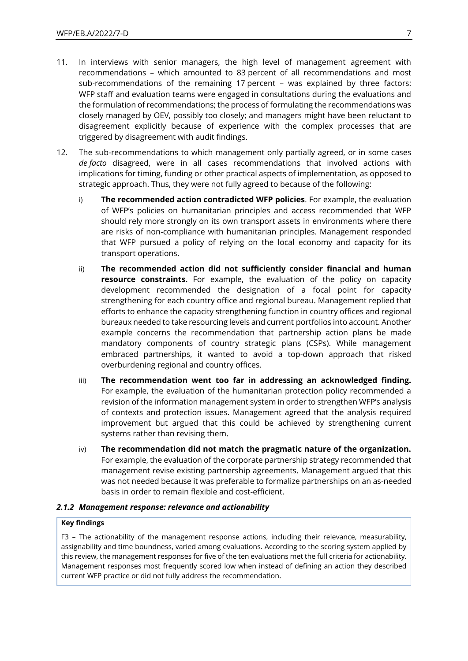- 11. In interviews with senior managers, the high level of management agreement with recommendations – which amounted to 83 percent of all recommendations and most sub-recommendations of the remaining 17 percent – was explained by three factors: WFP staff and evaluation teams were engaged in consultations during the evaluations and the formulation of recommendations; the process of formulating the recommendations was closely managed by OEV, possibly too closely; and managers might have been reluctant to disagreement explicitly because of experience with the complex processes that are triggered by disagreement with audit findings.
- 12. The sub-recommendations to which management only partially agreed, or in some cases *de facto* disagreed, were in all cases recommendations that involved actions with implications for timing, funding or other practical aspects of implementation, as opposed to strategic approach. Thus, they were not fully agreed to because of the following:
	- i) **The recommended action contradicted WFP policies**. For example, the evaluation of WFP's policies on humanitarian principles and access recommended that WFP should rely more strongly on its own transport assets in environments where there are risks of non-compliance with humanitarian principles. Management responded that WFP pursued a policy of relying on the local economy and capacity for its transport operations.
	- ii) **The recommended action did not sufficiently consider financial and human resource constraints.** For example, the evaluation of the policy on capacity development recommended the designation of a focal point for capacity strengthening for each country office and regional bureau. Management replied that efforts to enhance the capacity strengthening function in country offices and regional bureaux needed to take resourcing levels and current portfolios into account. Another example concerns the recommendation that partnership action plans be made mandatory components of country strategic plans (CSPs). While management embraced partnerships, it wanted to avoid a top-down approach that risked overburdening regional and country offices.
	- iii) **The recommendation went too far in addressing an acknowledged finding.** For example, the evaluation of the humanitarian protection policy recommended a revision of the information management system in order to strengthen WFP's analysis of contexts and protection issues. Management agreed that the analysis required improvement but argued that this could be achieved by strengthening current systems rather than revising them.
	- iv) **The recommendation did not match the pragmatic nature of the organization.**  For example, the evaluation of the corporate partnership strategy recommended that management revise existing partnership agreements. Management argued that this was not needed because it was preferable to formalize partnerships on an as-needed basis in order to remain flexible and cost-efficient.

### *2.1.2 Management response: relevance and actionability*

#### **Key findings**

F3 – The actionability of the management response actions, including their relevance, measurability, assignability and time boundness, varied among evaluations. According to the scoring system applied by this review, the management responses for five of the ten evaluations met the full criteria for actionability. Management responses most frequently scored low when instead of defining an action they described current WFP practice or did not fully address the recommendation.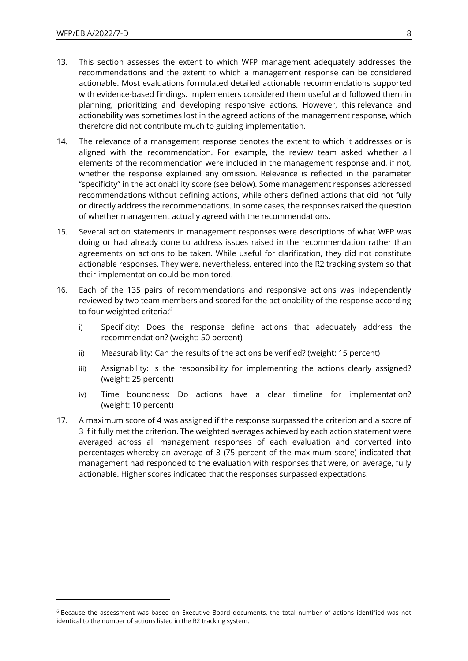- 13. This section assesses the extent to which WFP management adequately addresses the recommendations and the extent to which a management response can be considered actionable. Most evaluations formulated detailed actionable recommendations supported with evidence-based findings. Implementers considered them useful and followed them in planning, prioritizing and developing responsive actions. However, this relevance and actionability was sometimes lost in the agreed actions of the management response, which therefore did not contribute much to guiding implementation.
- 14. The relevance of a management response denotes the extent to which it addresses or is aligned with the recommendation. For example, the review team asked whether all elements of the recommendation were included in the management response and, if not, whether the response explained any omission. Relevance is reflected in the parameter "specificity" in the actionability score (see below). Some management responses addressed recommendations without defining actions, while others defined actions that did not fully or directly address the recommendations. In some cases, the responses raised the question of whether management actually agreed with the recommendations.
- 15. Several action statements in management responses were descriptions of what WFP was doing or had already done to address issues raised in the recommendation rather than agreements on actions to be taken. While useful for clarification, they did not constitute actionable responses. They were, nevertheless, entered into the R2 tracking system so that their implementation could be monitored.
- 16. Each of the 135 pairs of recommendations and responsive actions was independently reviewed by two team members and scored for the actionability of the response according to four weighted criteria:<sup>6</sup>
	- i) Specificity: Does the response define actions that adequately address the recommendation? (weight: 50 percent)
	- ii) Measurability: Can the results of the actions be verified? (weight: 15 percent)
	- iii) Assignability: Is the responsibility for implementing the actions clearly assigned? (weight: 25 percent)
	- iv) Time boundness: Do actions have a clear timeline for implementation? (weight: 10 percent)
- 17. A maximum score of 4 was assigned if the response surpassed the criterion and a score of 3 if it fully met the criterion. The weighted averages achieved by each action statement were averaged across all management responses of each evaluation and converted into percentages whereby an average of 3 (75 percent of the maximum score) indicated that management had responded to the evaluation with responses that were, on average, fully actionable. Higher scores indicated that the responses surpassed expectations.

<sup>6</sup> Because the assessment was based on Executive Board documents, the total number of actions identified was not identical to the number of actions listed in the R2 tracking system.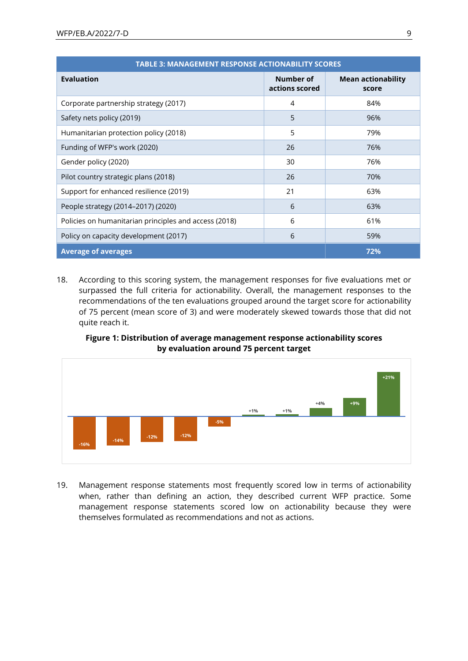| <b>TABLE 3: MANAGEMENT RESPONSE ACTIONABILITY SCORES</b> |                             |                                    |  |  |  |  |  |  |
|----------------------------------------------------------|-----------------------------|------------------------------------|--|--|--|--|--|--|
| <b>Evaluation</b>                                        | Number of<br>actions scored | <b>Mean actionability</b><br>score |  |  |  |  |  |  |
| Corporate partnership strategy (2017)                    | 4                           | 84%                                |  |  |  |  |  |  |
| Safety nets policy (2019)                                | 5                           | 96%                                |  |  |  |  |  |  |
| Humanitarian protection policy (2018)                    | 5                           | 79%                                |  |  |  |  |  |  |
| Funding of WFP's work (2020)                             | 26                          | 76%                                |  |  |  |  |  |  |
| Gender policy (2020)                                     | 30                          | 76%                                |  |  |  |  |  |  |
| Pilot country strategic plans (2018)                     | 26                          | 70%                                |  |  |  |  |  |  |
| Support for enhanced resilience (2019)                   | 21                          | 63%                                |  |  |  |  |  |  |
| People strategy (2014-2017) (2020)                       | 6                           | 63%                                |  |  |  |  |  |  |
| Policies on humanitarian principles and access (2018)    | 6                           | 61%                                |  |  |  |  |  |  |
| Policy on capacity development (2017)                    | 6                           | 59%                                |  |  |  |  |  |  |
| <b>Average of averages</b>                               | 72%                         |                                    |  |  |  |  |  |  |

18. According to this scoring system, the management responses for five evaluations met or surpassed the full criteria for actionability. Overall, the management responses to the recommendations of the ten evaluations grouped around the target score for actionability of 75 percent (mean score of 3) and were moderately skewed towards those that did not quite reach it.

## **Figure 1: Distribution of average management response actionability scores by evaluation around 75 percent target**



19. Management response statements most frequently scored low in terms of actionability when, rather than defining an action, they described current WFP practice. Some management response statements scored low on actionability because they were themselves formulated as recommendations and not as actions.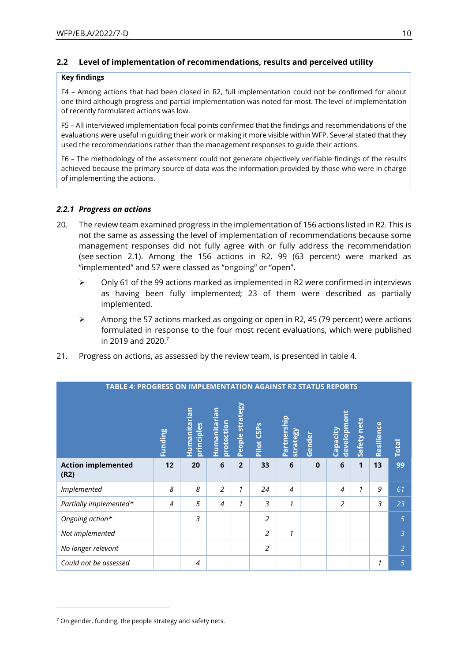## **2.2 Level of implementation of recommendations, results and perceived utility**

### **Key findings**

F4 – Among actions that had been closed in R2, full implementation could not be confirmed for about one third although progress and partial implementation was noted for most. The level of implementation of recently formulated actions was low.

F5 – All interviewed implementation focal points confirmed that the findings and recommendations of the evaluations were useful in guiding their work or making it more visible within WFP. Several stated that they used the recommendations rather than the management responses to guide their actions.

F6 – The methodology of the assessment could not generate objectively verifiable findings of the results achieved because the primary source of data was the information provided by those who were in charge of implementing the actions.

## *2.2.1 Progress on actions*

- 20. The review team examined progress in the implementation of 156 actions listed in R2. This is not the same as assessing the level of implementation of recommendations because some management responses did not fully agree with or fully address the recommendation (see section 2.1). Among the 156 actions in R2, 99 (63 percent) were marked as "implemented" and 57 were classed as "ongoing" or "open".
	- $\triangleright$  Only 61 of the 99 actions marked as implemented in R2 were confirmed in interviews as having been fully implemented; 23 of them were described as partially implemented.
	- $\triangleright$  Among the 57 actions marked as ongoing or open in R2, 45 (79 percent) were actions formulated in response to the four most recent evaluations, which were published in 2019 and 2020.<sup>7</sup>
- 21. Progress on actions, as assessed by the review team, is presented in table 4.

| <b>TABLE 4: PROGRESS ON IMPLEMENTATION AGAINST R2 STATUS REPORTS</b> |                |                            |                            |                 |                        |                         |              |                         |             |            |                |
|----------------------------------------------------------------------|----------------|----------------------------|----------------------------|-----------------|------------------------|-------------------------|--------------|-------------------------|-------------|------------|----------------|
|                                                                      | <b>Funding</b> | Humanitarian<br>principles | Humanitarian<br>protection | People strategy | Pilot CSP <sub>S</sub> | Partnership<br>strategy | Gender       | development<br>Capacity | Safety nets | Resilience | <b>Total</b>   |
| <b>Action implemented</b><br>(R2)                                    | 12             | 20                         | $6\phantom{1}$             | $\overline{2}$  | 33                     | 6                       | $\mathbf{0}$ | 6                       | 1           | 13         | 99             |
| Implemented                                                          | 8              | 8                          | $\overline{2}$             | 1               | 24                     | $\overline{4}$          |              | $\overline{4}$          | 1           | 9          | 61             |
| Partially implemented*                                               | 4              | 5                          | $\overline{4}$             | 1               | 3                      | 1                       |              | $\overline{2}$          |             | 3          | 23             |
| Ongoing action*                                                      |                | 3                          |                            |                 | $\overline{2}$         |                         |              |                         |             |            | $\overline{5}$ |
| Not implemented                                                      |                |                            |                            |                 | $\overline{2}$         | 1                       |              |                         |             |            | $\overline{3}$ |
| No longer relevant                                                   |                |                            |                            |                 | $\overline{2}$         |                         |              |                         |             |            | $\overline{2}$ |
| Could not be assessed                                                |                | $\overline{4}$             |                            |                 |                        |                         |              |                         |             | 1          | 5              |

 $7$  On gender, funding, the people strategy and safety nets.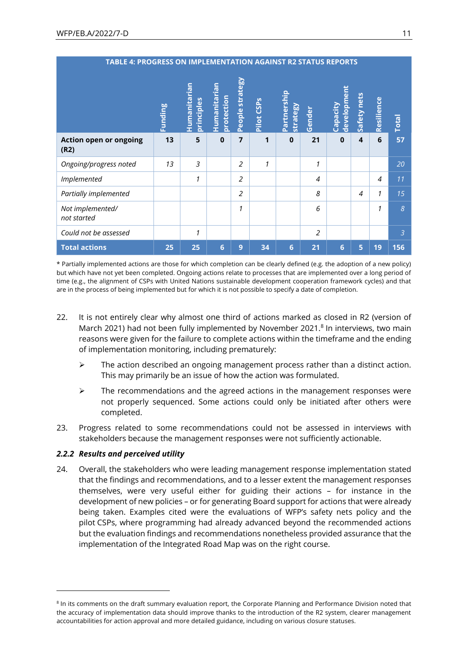| <b>TABLE 4: PROGRESS ON IMPLEMENTATION AGAINST R2 STATUS REPORTS</b> |                |                            |                            |                 |                        |                                |                |                         |                          |            |                |
|----------------------------------------------------------------------|----------------|----------------------------|----------------------------|-----------------|------------------------|--------------------------------|----------------|-------------------------|--------------------------|------------|----------------|
|                                                                      | <b>Funding</b> | Humanitarian<br>principles | Humanitarian<br>protection | People strategy | Pilot CSP <sub>S</sub> | Partnership<br><b>strategy</b> | Gender         | development<br>Capacity | Safety nets              | Resilience | <b>Total</b>   |
| <b>Action open or ongoing</b><br>(R2)                                | 13             | 5                          | $\mathbf{0}$               | $\overline{7}$  | 1                      | $\bf{0}$                       | 21             | $\mathbf 0$             | 4                        | 6          | 57             |
| Ongoing/progress noted                                               | 13             | 3                          |                            | $\overline{2}$  | 1                      |                                | 1              |                         |                          |            | 20             |
| Implemented                                                          |                | 1                          |                            | $\overline{2}$  |                        |                                | 4              |                         |                          | 4          | 11             |
| Partially implemented                                                |                |                            |                            | $\overline{2}$  |                        |                                | 8              |                         | $\overline{\mathcal{A}}$ | 1          | 15             |
| Not implemented/<br>not started                                      |                |                            |                            | 1               |                        |                                | 6              |                         |                          | 1          | $\overline{8}$ |
| Could not be assessed                                                |                | 1                          |                            |                 |                        |                                | $\overline{2}$ |                         |                          |            | $\overline{3}$ |
| <b>Total actions</b>                                                 | 25             | 25                         | 6                          | 9               | 34                     | 6                              | 21             | 6                       | 5                        | 19         | 156            |

\* Partially implemented actions are those for which completion can be clearly defined (e.g. the adoption of a new policy) but which have not yet been completed. Ongoing actions relate to processes that are implemented over a long period of time (e.g., the alignment of CSPs with United Nations sustainable development cooperation framework cycles) and that are in the process of being implemented but for which it is not possible to specify a date of completion.

- 22. It is not entirely clear why almost one third of actions marked as closed in R2 (version of March 2021) had not been fully implemented by November 2021.<sup>8</sup> In interviews, two main reasons were given for the failure to complete actions within the timeframe and the ending of implementation monitoring, including prematurely:
	- $\triangleright$  The action described an ongoing management process rather than a distinct action. This may primarily be an issue of how the action was formulated.
	- $\triangleright$  The recommendations and the agreed actions in the management responses were not properly sequenced. Some actions could only be initiated after others were completed.
- 23. Progress related to some recommendations could not be assessed in interviews with stakeholders because the management responses were not sufficiently actionable.

## *2.2.2 Results and perceived utility*

24. Overall, the stakeholders who were leading management response implementation stated that the findings and recommendations, and to a lesser extent the management responses themselves, were very useful either for guiding their actions – for instance in the development of new policies – or for generating Board support for actions that were already being taken. Examples cited were the evaluations of WFP's safety nets policy and the pilot CSPs, where programming had already advanced beyond the recommended actions but the evaluation findings and recommendations nonetheless provided assurance that the implementation of the Integrated Road Map was on the right course.

<sup>&</sup>lt;sup>8</sup> In its comments on the draft summary evaluation report, the Corporate Planning and Performance Division noted that the accuracy of implementation data should improve thanks to the introduction of the R2 system, clearer management accountabilities for action approval and more detailed guidance, including on various closure statuses.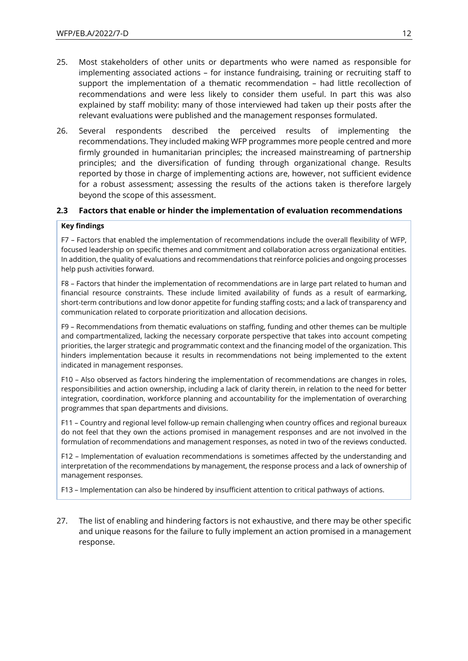- 25. Most stakeholders of other units or departments who were named as responsible for implementing associated actions – for instance fundraising, training or recruiting staff to support the implementation of a thematic recommendation – had little recollection of recommendations and were less likely to consider them useful. In part this was also explained by staff mobility: many of those interviewed had taken up their posts after the relevant evaluations were published and the management responses formulated.
- 26. Several respondents described the perceived results of implementing the recommendations. They included making WFP programmes more people centred and more firmly grounded in humanitarian principles; the increased mainstreaming of partnership principles; and the diversification of funding through organizational change. Results reported by those in charge of implementing actions are, however, not sufficient evidence for a robust assessment; assessing the results of the actions taken is therefore largely beyond the scope of this assessment.

### **2.3 Factors that enable or hinder the implementation of evaluation recommendations**

#### **Key findings**

F7 – Factors that enabled the implementation of recommendations include the overall flexibility of WFP, focused leadership on specific themes and commitment and collaboration across organizational entities. In addition, the quality of evaluations and recommendations that reinforce policies and ongoing processes help push activities forward.

F8 – Factors that hinder the implementation of recommendations are in large part related to human and financial resource constraints. These include limited availability of funds as a result of earmarking, short-term contributions and low donor appetite for funding staffing costs; and a lack of transparency and communication related to corporate prioritization and allocation decisions.

F9 – Recommendations from thematic evaluations on staffing, funding and other themes can be multiple and compartmentalized, lacking the necessary corporate perspective that takes into account competing priorities, the larger strategic and programmatic context and the financing model of the organization. This hinders implementation because it results in recommendations not being implemented to the extent indicated in management responses.

F10 – Also observed as factors hindering the implementation of recommendations are changes in roles, responsibilities and action ownership, including a lack of clarity therein, in relation to the need for better integration, coordination, workforce planning and accountability for the implementation of overarching programmes that span departments and divisions.

F11 – Country and regional level follow-up remain challenging when country offices and regional bureaux do not feel that they own the actions promised in management responses and are not involved in the formulation of recommendations and management responses, as noted in two of the reviews conducted.

F12 – Implementation of evaluation recommendations is sometimes affected by the understanding and interpretation of the recommendations by management, the response process and a lack of ownership of management responses.

F13 – Implementation can also be hindered by insufficient attention to critical pathways of actions.

27. The list of enabling and hindering factors is not exhaustive, and there may be other specific and unique reasons for the failure to fully implement an action promised in a management response.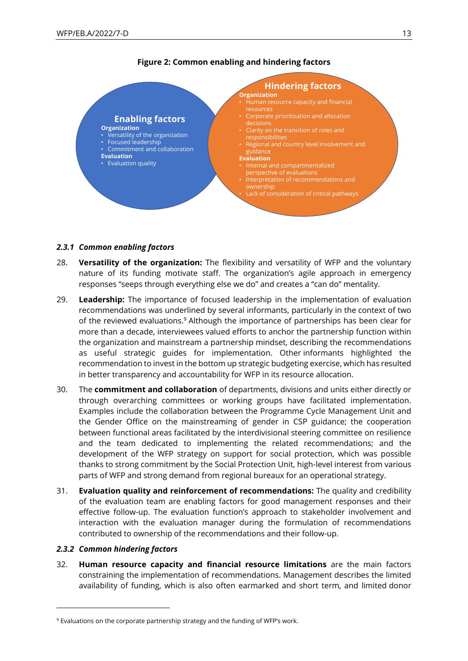

## **Figure 2: Common enabling and hindering factors**

#### *2.3.1 Common enabling factors*

- 28. **Versatility of the organization:** The flexibility and versatility of WFP and the voluntary nature of its funding motivate staff. The organization's agile approach in emergency responses "seeps through everything else we do" and creates a "can do" mentality.
- 29. **Leadership:** The importance of focused leadership in the implementation of evaluation recommendations was underlined by several informants, particularly in the context of two of the reviewed evaluations.<sup>9</sup> Although the importance of partnerships has been clear for more than a decade, interviewees valued efforts to anchor the partnership function within the organization and mainstream a partnership mindset, describing the recommendations as useful strategic guides for implementation. Other informants highlighted the recommendation to invest in the bottom up strategic budgeting exercise, which has resulted in better transparency and accountability for WFP in its resource allocation.
- 30. The **commitment and collaboration** of departments, divisions and units either directly or through overarching committees or working groups have facilitated implementation. Examples include the collaboration between the Programme Cycle Management Unit and the Gender Office on the mainstreaming of gender in CSP guidance; the cooperation between functional areas facilitated by the interdivisional steering committee on resilience and the team dedicated to implementing the related recommendations; and the development of the WFP strategy on support for social protection, which was possible thanks to strong commitment by the Social Protection Unit, high-level interest from various parts of WFP and strong demand from regional bureaux for an operational strategy.
- 31. **Evaluation quality and reinforcement of recommendations:** The quality and credibility of the evaluation team are enabling factors for good management responses and their effective follow-up. The evaluation function's approach to stakeholder involvement and interaction with the evaluation manager during the formulation of recommendations contributed to ownership of the recommendations and their follow-up.

#### *2.3.2 Common hindering factors*

32. **Human resource capacity and financial resource limitations** are the main factors constraining the implementation of recommendations. Management describes the limited availability of funding, which is also often earmarked and short term, and limited donor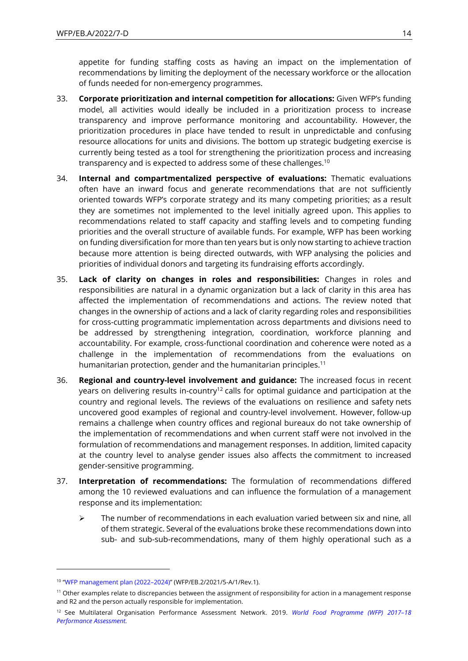appetite for funding staffing costs as having an impact on the implementation of recommendations by limiting the deployment of the necessary workforce or the allocation of funds needed for non-emergency programmes.

- 33. **Corporate prioritization and internal competition for allocations:** Given WFP's funding model, all activities would ideally be included in a prioritization process to increase transparency and improve performance monitoring and accountability. However, the prioritization procedures in place have tended to result in unpredictable and confusing resource allocations for units and divisions. The bottom up strategic budgeting exercise is currently being tested as a tool for strengthening the prioritization process and increasing transparency and is expected to address some of these challenges.<sup>10</sup>
- 34. **Internal and compartmentalized perspective of evaluations:** Thematic evaluations often have an inward focus and generate recommendations that are not sufficiently oriented towards WFP's corporate strategy and its many competing priorities; as a result they are sometimes not implemented to the level initially agreed upon. This applies to recommendations related to staff capacity and staffing levels and to competing funding priorities and the overall structure of available funds. For example, WFP has been working on funding diversification for more than ten years but is only now starting to achieve traction because more attention is being directed outwards, with WFP analysing the policies and priorities of individual donors and targeting its fundraising efforts accordingly.
- 35. **Lack of clarity on changes in roles and responsibilities:** Changes in roles and responsibilities are natural in a dynamic organization but a lack of clarity in this area has affected the implementation of recommendations and actions. The review noted that changes in the ownership of actions and a lack of clarity regarding roles and responsibilities for cross-cutting programmatic implementation across departments and divisions need to be addressed by strengthening integration, coordination, workforce planning and accountability. For example, cross-functional coordination and coherence were noted as a challenge in the implementation of recommendations from the evaluations on humanitarian protection, gender and the humanitarian principles.<sup>11</sup>
- 36. **Regional and country-level involvement and guidance:** The increased focus in recent years on delivering results in-country<sup>12</sup> calls for optimal guidance and participation at the country and regional levels. The reviews of the evaluations on resilience and safety nets uncovered good examples of regional and country-level involvement. However, follow-up remains a challenge when country offices and regional bureaux do not take ownership of the implementation of recommendations and when current staff were not involved in the formulation of recommendations and management responses. In addition, limited capacity at the country level to analyse gender issues also affects the commitment to increased gender-sensitive programming.
- 37. **Interpretation of recommendations:** The formulation of recommendations differed among the 10 reviewed evaluations and can influence the formulation of a management response and its implementation:
	- $\triangleright$  The number of recommendations in each evaluation varied between six and nine, all of them strategic. Several of the evaluations broke these recommendations down into sub- and sub-sub-recommendations, many of them highly operational such as a

<sup>10</sup> "[WFP management plan \(2022](https://executiveboard.wfp.org/document_download/WFP-0000132209)–2024)" (WFP/EB.2/2021/5-A/1/Rev.1).

<sup>&</sup>lt;sup>11</sup> Other examples relate to discrepancies between the assignment of responsibility for action in a management response and R2 and the person actually responsible for implementation.

<sup>12</sup> See Multilateral Organisation Performance Assessment Network. 2019. *[World Food Programme \(WFP\)](https://www.mopanonline.org/assessments/wfp2017-18/) 2017–18 [Performance Assessment.](https://www.mopanonline.org/assessments/wfp2017-18/)*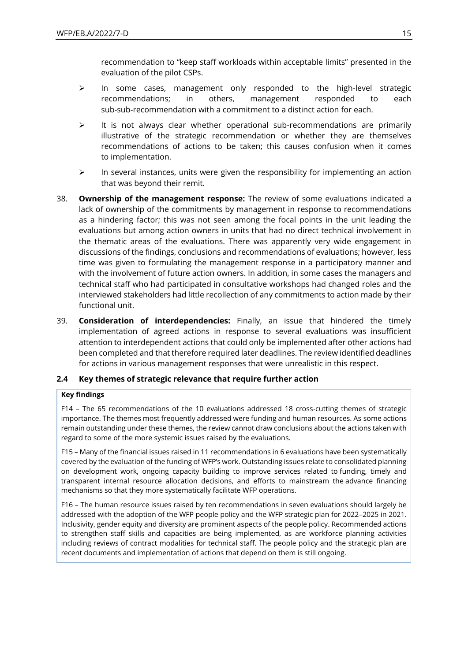recommendation to "keep staff workloads within acceptable limits" presented in the evaluation of the pilot CSPs.

- ➢ In some cases, management only responded to the high-level strategic recommendations; in others, management responded to each sub-sub-recommendation with a commitment to a distinct action for each.
- $\triangleright$  It is not always clear whether operational sub-recommendations are primarily illustrative of the strategic recommendation or whether they are themselves recommendations of actions to be taken; this causes confusion when it comes to implementation.
- $\triangleright$  In several instances, units were given the responsibility for implementing an action that was beyond their remit.
- 38. **Ownership of the management response:** The review of some evaluations indicated a lack of ownership of the commitments by management in response to recommendations as a hindering factor; this was not seen among the focal points in the unit leading the evaluations but among action owners in units that had no direct technical involvement in the thematic areas of the evaluations. There was apparently very wide engagement in discussions of the findings, conclusions and recommendations of evaluations; however, less time was given to formulating the management response in a participatory manner and with the involvement of future action owners. In addition, in some cases the managers and technical staff who had participated in consultative workshops had changed roles and the interviewed stakeholders had little recollection of any commitments to action made by their functional unit.
- 39. **Consideration of interdependencies:** Finally, an issue that hindered the timely implementation of agreed actions in response to several evaluations was insufficient attention to interdependent actions that could only be implemented after other actions had been completed and that therefore required later deadlines. The review identified deadlines for actions in various management responses that were unrealistic in this respect.

## **2.4 Key themes of strategic relevance that require further action**

### **Key findings**

F14 – The 65 recommendations of the 10 evaluations addressed 18 cross-cutting themes of strategic importance. The themes most frequently addressed were funding and human resources. As some actions remain outstanding under these themes, the review cannot draw conclusions about the actions taken with regard to some of the more systemic issues raised by the evaluations.

F15 – Many of the financial issues raised in 11 recommendations in 6 evaluations have been systematically covered by the evaluation of the funding of WFP's work. Outstanding issues relate to consolidated planning on development work, ongoing capacity building to improve services related to funding, timely and transparent internal resource allocation decisions, and efforts to mainstream the advance financing mechanisms so that they more systematically facilitate WFP operations.

F16 – The human resource issues raised by ten recommendations in seven evaluations should largely be addressed with the adoption of the WFP people policy and the WFP strategic plan for 2022–2025 in 2021. Inclusivity, gender equity and diversity are prominent aspects of the people policy. Recommended actions to strengthen staff skills and capacities are being implemented, as are workforce planning activities including reviews of contract modalities for technical staff. The people policy and the strategic plan are recent documents and implementation of actions that depend on them is still ongoing.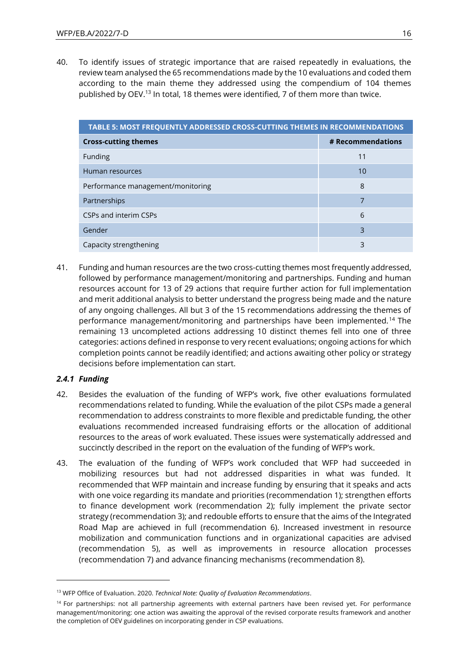40. To identify issues of strategic importance that are raised repeatedly in evaluations, the review team analysed the 65 recommendations made by the 10 evaluations and coded them according to the main theme they addressed using the compendium of 104 themes published by OEV.<sup>13</sup> In total, 18 themes were identified, 7 of them more than twice.

| TABLE 5: MOST FREQUENTLY ADDRESSED CROSS-CUTTING THEMES IN RECOMMENDATIONS |                   |  |  |  |  |
|----------------------------------------------------------------------------|-------------------|--|--|--|--|
| <b>Cross-cutting themes</b>                                                | # Recommendations |  |  |  |  |
| Funding                                                                    | 11                |  |  |  |  |
| Human resources                                                            | 10                |  |  |  |  |
| Performance management/monitoring                                          | 8                 |  |  |  |  |
| Partnerships                                                               |                   |  |  |  |  |
| CSPs and interim CSPs                                                      | 6                 |  |  |  |  |
| Gender                                                                     | 3                 |  |  |  |  |
| Capacity strengthening                                                     | 3                 |  |  |  |  |

41. Funding and human resources are the two cross-cutting themes most frequently addressed, followed by performance management/monitoring and partnerships. Funding and human resources account for 13 of 29 actions that require further action for full implementation and merit additional analysis to better understand the progress being made and the nature of any ongoing challenges. All but 3 of the 15 recommendations addressing the themes of performance management/monitoring and partnerships have been implemented.<sup>14</sup> The remaining 13 uncompleted actions addressing 10 distinct themes fell into one of three categories: actions defined in response to very recent evaluations; ongoing actions for which completion points cannot be readily identified; and actions awaiting other policy or strategy decisions before implementation can start.

## *2.4.1 Funding*

- 42. Besides the evaluation of the funding of WFP's work, five other evaluations formulated recommendations related to funding. While the evaluation of the pilot CSPs made a general recommendation to address constraints to more flexible and predictable funding, the other evaluations recommended increased fundraising efforts or the allocation of additional resources to the areas of work evaluated. These issues were systematically addressed and succinctly described in the report on the evaluation of the funding of WFP's work.
- 43. The evaluation of the funding of WFP's work concluded that WFP had succeeded in mobilizing resources but had not addressed disparities in what was funded. It recommended that WFP maintain and increase funding by ensuring that it speaks and acts with one voice regarding its mandate and priorities (recommendation 1); strengthen efforts to finance development work (recommendation 2); fully implement the private sector strategy (recommendation 3); and redouble efforts to ensure that the aims of the Integrated Road Map are achieved in full (recommendation 6). Increased investment in resource mobilization and communication functions and in organizational capacities are advised (recommendation 5), as well as improvements in resource allocation processes (recommendation 7) and advance financing mechanisms (recommendation 8).

<sup>13</sup> WFP Office of Evaluation. 2020. *Technical Note: Quality of Evaluation Recommendations*.

<sup>&</sup>lt;sup>14</sup> For partnerships: not all partnership agreements with external partners have been revised yet. For performance management/monitoring: one action was awaiting the approval of the revised corporate results framework and another the completion of OEV guidelines on incorporating gender in CSP evaluations.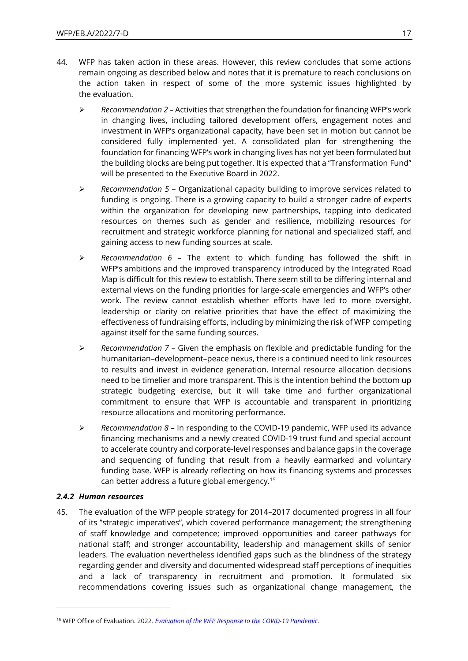- 44. WFP has taken action in these areas. However, this review concludes that some actions remain ongoing as described below and notes that it is premature to reach conclusions on the action taken in respect of some of the more systemic issues highlighted by the evaluation.
	- ➢ *Recommendation 2*  Activities that strengthen the foundation for financing WFP's work in changing lives, including tailored development offers, engagement notes and investment in WFP's organizational capacity, have been set in motion but cannot be considered fully implemented yet. A consolidated plan for strengthening the foundation for financing WFP's work in changing lives has not yet been formulated but the building blocks are being put together. It is expected that a "Transformation Fund" will be presented to the Executive Board in 2022.
	- ➢ *Recommendation 5*  Organizational capacity building to improve services related to funding is ongoing. There is a growing capacity to build a stronger cadre of experts within the organization for developing new partnerships, tapping into dedicated resources on themes such as gender and resilience, mobilizing resources for recruitment and strategic workforce planning for national and specialized staff, and gaining access to new funding sources at scale.
	- ➢ *Recommendation 6*  The extent to which funding has followed the shift in WFP's ambitions and the improved transparency introduced by the Integrated Road Map is difficult for this review to establish. There seem still to be differing internal and external views on the funding priorities for large-scale emergencies and WFP's other work. The review cannot establish whether efforts have led to more oversight, leadership or clarity on relative priorities that have the effect of maximizing the effectiveness of fundraising efforts, including by minimizing the risk of WFP competing against itself for the same funding sources.
	- ➢ *Recommendation 7*  Given the emphasis on flexible and predictable funding for the humanitarian–development–peace nexus, there is a continued need to link resources to results and invest in evidence generation. Internal resource allocation decisions need to be timelier and more transparent. This is the intention behind the bottom up strategic budgeting exercise, but it will take time and further organizational commitment to ensure that WFP is accountable and transparent in prioritizing resource allocations and monitoring performance.
	- ➢ *Recommendation 8*  In responding to the COVID-19 pandemic, WFP used its advance financing mechanisms and a newly created COVID-19 trust fund and special account to accelerate country and corporate-level responses and balance gaps in the coverage and sequencing of funding that result from a heavily earmarked and voluntary funding base. WFP is already reflecting on how its financing systems and processes can better address a future global emergency.<sup>15</sup>

## *2.4.2 Human resources*

45. The evaluation of the WFP people strategy for 2014–2017 documented progress in all four of its "strategic imperatives", which covered performance management; the strengthening of staff knowledge and competence; improved opportunities and career pathways for national staff; and stronger accountability, leadership and management skills of senior leaders. The evaluation nevertheless identified gaps such as the blindness of the strategy regarding gender and diversity and documented widespread staff perceptions of inequities and a lack of transparency in recruitment and promotion. It formulated six recommendations covering issues such as organizational change management, the

<sup>15</sup> WFP Office of Evaluation. 2022. *[Evaluation of the WFP Response to the COVID-19 Pandemic](https://www.wfp.org/publications/evaluation-wfps-response-covid-19-pandemic)*.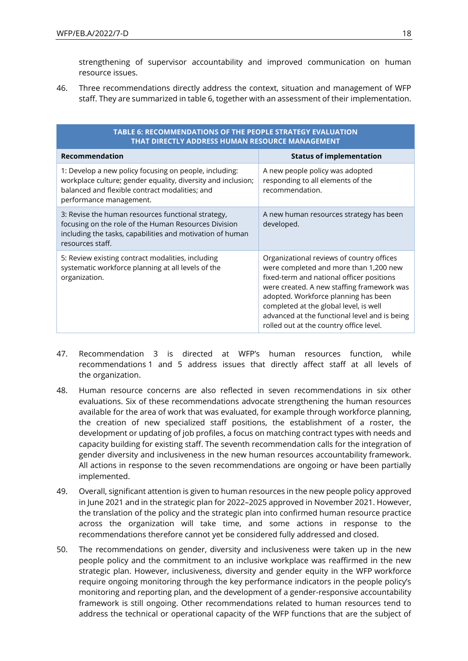strengthening of supervisor accountability and improved communication on human resource issues.

46. Three recommendations directly address the context, situation and management of WFP staff. They are summarized in table 6, together with an assessment of their implementation.

| TABLE 6: RECOMMENDATIONS OF THE PEOPLE STRATEGY EVALUATION<br>THAT DIRECTLY ADDRESS HUMAN RESOURCE MANAGEMENT                                                                                       |                                                                                                                                                                                                                                                                                                                                                              |  |  |  |  |  |  |
|-----------------------------------------------------------------------------------------------------------------------------------------------------------------------------------------------------|--------------------------------------------------------------------------------------------------------------------------------------------------------------------------------------------------------------------------------------------------------------------------------------------------------------------------------------------------------------|--|--|--|--|--|--|
| <b>Recommendation</b>                                                                                                                                                                               | <b>Status of implementation</b>                                                                                                                                                                                                                                                                                                                              |  |  |  |  |  |  |
| 1: Develop a new policy focusing on people, including:<br>workplace culture; gender equality, diversity and inclusion;<br>balanced and flexible contract modalities; and<br>performance management. | A new people policy was adopted<br>responding to all elements of the<br>recommendation.                                                                                                                                                                                                                                                                      |  |  |  |  |  |  |
| 3: Revise the human resources functional strategy,<br>focusing on the role of the Human Resources Division<br>including the tasks, capabilities and motivation of human<br>resources staff.         | A new human resources strategy has been<br>developed.                                                                                                                                                                                                                                                                                                        |  |  |  |  |  |  |
| 5: Review existing contract modalities, including<br>systematic workforce planning at all levels of the<br>organization.                                                                            | Organizational reviews of country offices<br>were completed and more than 1,200 new<br>fixed-term and national officer positions<br>were created. A new staffing framework was<br>adopted. Workforce planning has been<br>completed at the global level, is well<br>advanced at the functional level and is being<br>rolled out at the country office level. |  |  |  |  |  |  |

- 47. Recommendation 3 is directed at WFP's human resources function, while recommendations 1 and 5 address issues that directly affect staff at all levels of the organization.
- 48. Human resource concerns are also reflected in seven recommendations in six other evaluations. Six of these recommendations advocate strengthening the human resources available for the area of work that was evaluated, for example through workforce planning, the creation of new specialized staff positions, the establishment of a roster, the development or updating of job profiles, a focus on matching contract types with needs and capacity building for existing staff. The seventh recommendation calls for the integration of gender diversity and inclusiveness in the new human resources accountability framework. All actions in response to the seven recommendations are ongoing or have been partially implemented.
- 49. Overall, significant attention is given to human resources in the new people policy approved in June 2021 and in the strategic plan for 2022–2025 approved in November 2021. However, the translation of the policy and the strategic plan into confirmed human resource practice across the organization will take time, and some actions in response to the recommendations therefore cannot yet be considered fully addressed and closed.
- 50. The recommendations on gender, diversity and inclusiveness were taken up in the new people policy and the commitment to an inclusive workplace was reaffirmed in the new strategic plan. However, inclusiveness, diversity and gender equity in the WFP workforce require ongoing monitoring through the key performance indicators in the people policy's monitoring and reporting plan, and the development of a gender-responsive accountability framework is still ongoing. Other recommendations related to human resources tend to address the technical or operational capacity of the WFP functions that are the subject of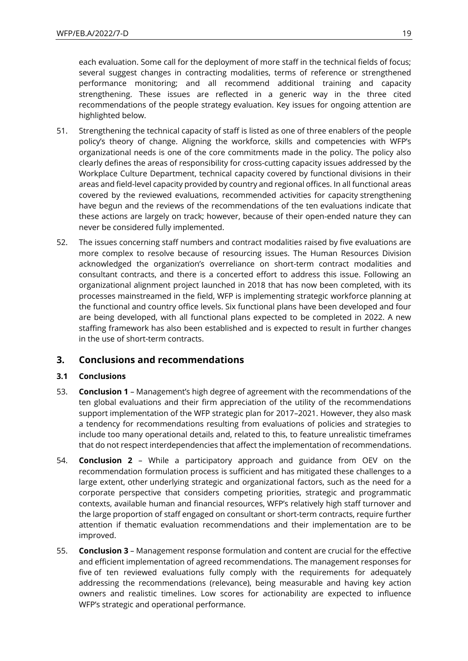each evaluation. Some call for the deployment of more staff in the technical fields of focus; several suggest changes in contracting modalities, terms of reference or strengthened performance monitoring; and all recommend additional training and capacity strengthening. These issues are reflected in a generic way in the three cited recommendations of the people strategy evaluation. Key issues for ongoing attention are highlighted below.

- 51. Strengthening the technical capacity of staff is listed as one of three enablers of the people policy's theory of change. Aligning the workforce, skills and competencies with WFP's organizational needs is one of the core commitments made in the policy. The policy also clearly defines the areas of responsibility for cross-cutting capacity issues addressed by the Workplace Culture Department, technical capacity covered by functional divisions in their areas and field-level capacity provided by country and regional offices. In all functional areas covered by the reviewed evaluations, recommended activities for capacity strengthening have begun and the reviews of the recommendations of the ten evaluations indicate that these actions are largely on track; however, because of their open-ended nature they can never be considered fully implemented.
- 52. The issues concerning staff numbers and contract modalities raised by five evaluations are more complex to resolve because of resourcing issues. The Human Resources Division acknowledged the organization's overreliance on short-term contract modalities and consultant contracts, and there is a concerted effort to address this issue. Following an organizational alignment project launched in 2018 that has now been completed, with its processes mainstreamed in the field, WFP is implementing strategic workforce planning at the functional and country office levels. Six functional plans have been developed and four are being developed, with all functional plans expected to be completed in 2022. A new staffing framework has also been established and is expected to result in further changes in the use of short-term contracts.

# **3. Conclusions and recommendations**

## **3.1 Conclusions**

- 53. **Conclusion 1** Management's high degree of agreement with the recommendations of the ten global evaluations and their firm appreciation of the utility of the recommendations support implementation of the WFP strategic plan for 2017–2021. However, they also mask a tendency for recommendations resulting from evaluations of policies and strategies to include too many operational details and, related to this, to feature unrealistic timeframes that do not respect interdependencies that affect the implementation of recommendations.
- 54. **Conclusion 2** While a participatory approach and guidance from OEV on the recommendation formulation process is sufficient and has mitigated these challenges to a large extent, other underlying strategic and organizational factors, such as the need for a corporate perspective that considers competing priorities, strategic and programmatic contexts, available human and financial resources, WFP's relatively high staff turnover and the large proportion of staff engaged on consultant or short-term contracts, require further attention if thematic evaluation recommendations and their implementation are to be improved.
- 55. **Conclusion 3** Management response formulation and content are crucial for the effective and efficient implementation of agreed recommendations. The management responses for five of ten reviewed evaluations fully comply with the requirements for adequately addressing the recommendations (relevance), being measurable and having key action owners and realistic timelines. Low scores for actionability are expected to influence WFP's strategic and operational performance.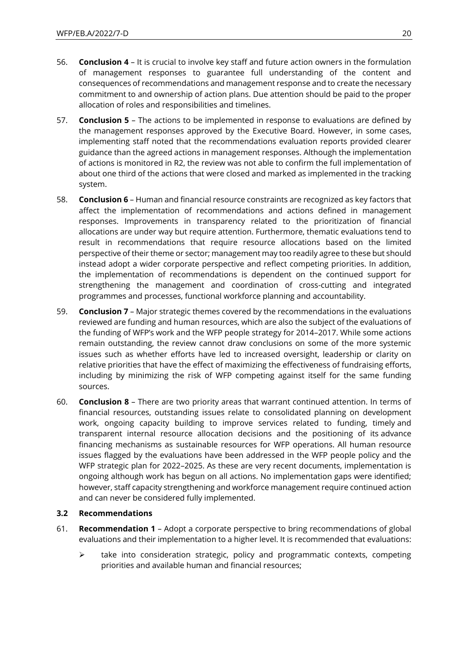- 56. **Conclusion 4** It is crucial to involve key staff and future action owners in the formulation of management responses to guarantee full understanding of the content and consequences of recommendations and management response and to create the necessary commitment to and ownership of action plans. Due attention should be paid to the proper allocation of roles and responsibilities and timelines.
- 57. **Conclusion 5** The actions to be implemented in response to evaluations are defined by the management responses approved by the Executive Board. However, in some cases, implementing staff noted that the recommendations evaluation reports provided clearer guidance than the agreed actions in management responses. Although the implementation of actions is monitored in R2, the review was not able to confirm the full implementation of about one third of the actions that were closed and marked as implemented in the tracking system.
- 58. **Conclusion 6** Human and financial resource constraints are recognized as key factors that affect the implementation of recommendations and actions defined in management responses. Improvements in transparency related to the prioritization of financial allocations are under way but require attention. Furthermore, thematic evaluations tend to result in recommendations that require resource allocations based on the limited perspective of their theme or sector; management may too readily agree to these but should instead adopt a wider corporate perspective and reflect competing priorities. In addition, the implementation of recommendations is dependent on the continued support for strengthening the management and coordination of cross-cutting and integrated programmes and processes, functional workforce planning and accountability.
- 59. **Conclusion 7** Major strategic themes covered by the recommendations in the evaluations reviewed are funding and human resources, which are also the subject of the evaluations of the funding of WFP's work and the WFP people strategy for 2014–2017. While some actions remain outstanding, the review cannot draw conclusions on some of the more systemic issues such as whether efforts have led to increased oversight, leadership or clarity on relative priorities that have the effect of maximizing the effectiveness of fundraising efforts, including by minimizing the risk of WFP competing against itself for the same funding sources.
- 60. **Conclusion 8** There are two priority areas that warrant continued attention. In terms of financial resources, outstanding issues relate to consolidated planning on development work, ongoing capacity building to improve services related to funding, timely and transparent internal resource allocation decisions and the positioning of its advance financing mechanisms as sustainable resources for WFP operations. All human resource issues flagged by the evaluations have been addressed in the WFP people policy and the WFP strategic plan for 2022–2025. As these are very recent documents, implementation is ongoing although work has begun on all actions. No implementation gaps were identified; however, staff capacity strengthening and workforce management require continued action and can never be considered fully implemented.

## **3.2 Recommendations**

- 61. **Recommendation 1** Adopt a corporate perspective to bring recommendations of global evaluations and their implementation to a higher level. It is recommended that evaluations:
	- $\triangleright$  take into consideration strategic, policy and programmatic contexts, competing priorities and available human and financial resources;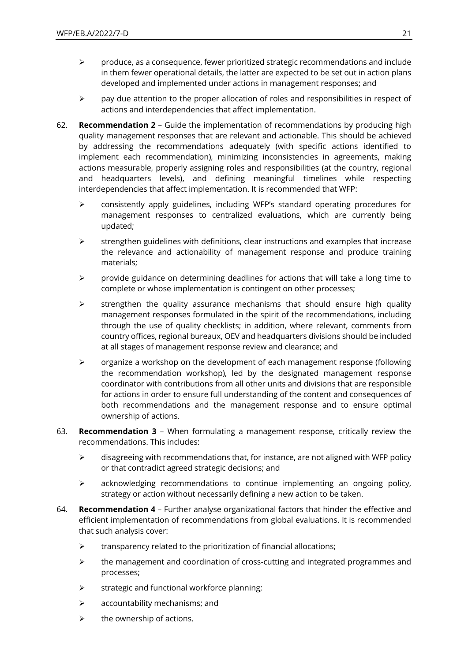- $\triangleright$  produce, as a consequence, fewer prioritized strategic recommendations and include in them fewer operational details, the latter are expected to be set out in action plans developed and implemented under actions in management responses; and
- $\triangleright$  pay due attention to the proper allocation of roles and responsibilities in respect of actions and interdependencies that affect implementation.
- 62. **Recommendation 2** Guide the implementation of recommendations by producing high quality management responses that are relevant and actionable. This should be achieved by addressing the recommendations adequately (with specific actions identified to implement each recommendation), minimizing inconsistencies in agreements, making actions measurable, properly assigning roles and responsibilities (at the country, regional and headquarters levels), and defining meaningful timelines while respecting interdependencies that affect implementation. It is recommended that WFP:
	- $\geq$  consistently apply guidelines, including WFP's standard operating procedures for management responses to centralized evaluations, which are currently being updated;
	- ➢ strengthen guidelines with definitions, clear instructions and examples that increase the relevance and actionability of management response and produce training materials;
	- $\triangleright$  provide guidance on determining deadlines for actions that will take a long time to complete or whose implementation is contingent on other processes;
	- ➢ strengthen the quality assurance mechanisms that should ensure high quality management responses formulated in the spirit of the recommendations, including through the use of quality checklists; in addition, where relevant, comments from country offices, regional bureaux, OEV and headquarters divisions should be included at all stages of management response review and clearance; and
	- ➢ organize a workshop on the development of each management response (following the recommendation workshop), led by the designated management response coordinator with contributions from all other units and divisions that are responsible for actions in order to ensure full understanding of the content and consequences of both recommendations and the management response and to ensure optimal ownership of actions.
- 63. **Recommendation 3** When formulating a management response, critically review the recommendations. This includes:
	- ➢ disagreeing with recommendations that, for instance, are not aligned with WFP policy or that contradict agreed strategic decisions; and
	- $\triangleright$  acknowledging recommendations to continue implementing an ongoing policy, strategy or action without necessarily defining a new action to be taken.
- 64. **Recommendation 4** Further analyse organizational factors that hinder the effective and efficient implementation of recommendations from global evaluations. It is recommended that such analysis cover:
	- $\triangleright$  transparency related to the prioritization of financial allocations;
	- $\triangleright$  the management and coordination of cross-cutting and integrated programmes and processes;
	- ➢ strategic and functional workforce planning;
	- $\triangleright$  accountability mechanisms; and
	- $\triangleright$  the ownership of actions.